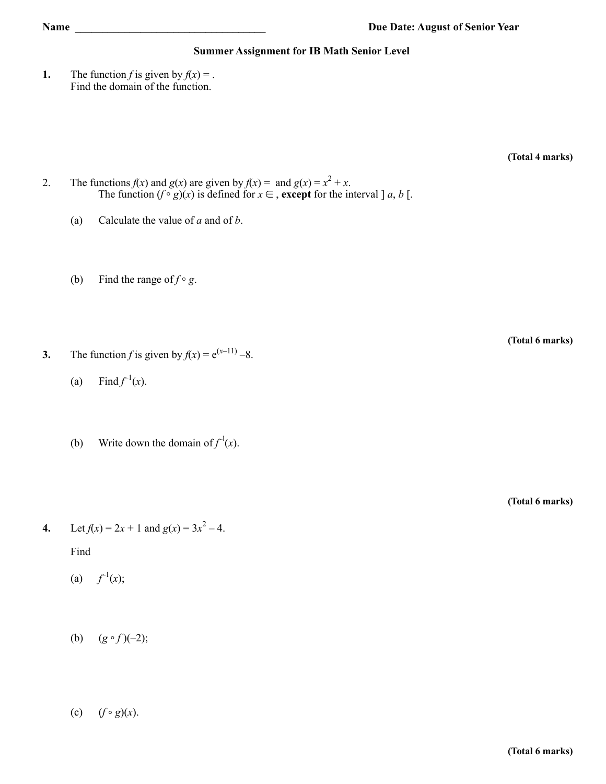## **Summer Assignment for IB Math Senior Level**

**1.** The function *f* is given by  $f(x) =$ . Find the domain of the function.

**(Total 4 marks)**

- 2. The functions  $f(x)$  and  $g(x)$  are given by  $f(x) =$  and  $g(x) = x^2 + x$ . The function  $(f \circ g)(x)$  is defined for  $x \in A$ , **except** for the interval  $] a, b [$ .
	- (a) Calculate the value of *a* and of *b*.
	- (b) Find the range of  $f \circ g$ .

**3.** The function *f* is given by  $f(x) = e^{(x-11)} - 8$ .

- (a) Find  $f^{-1}(x)$ .
- (b) Write down the domain of  $f^{-1}(x)$ .

**(Total 6 marks)**

**(Total 6 marks)**

**4.** Let  $f(x) = 2x + 1$  and  $g(x) = 3x^2 - 4$ .

Find

- (a)  $f^{-1}(x)$ ;
- (b)  $(g \circ f)(-2);$
- (c)  $(f \circ g)(x)$ .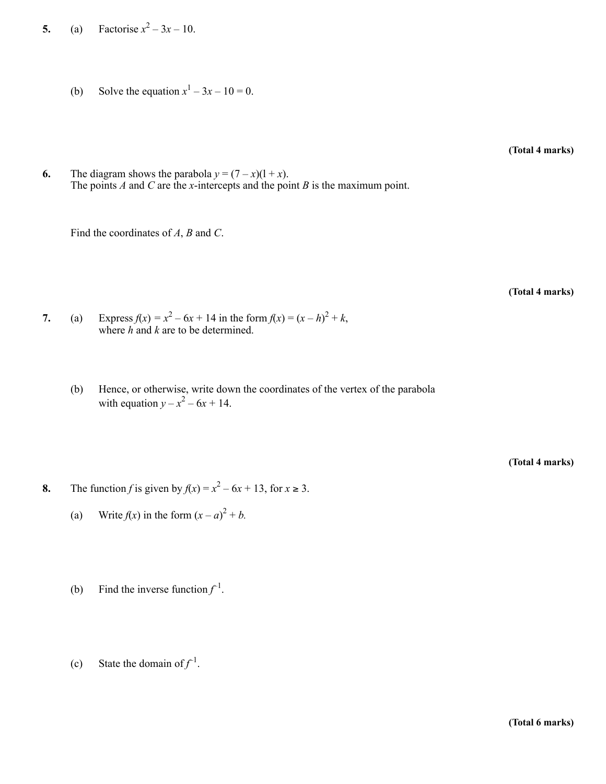**5.** (a) Factorise  $x^2 - 3x - 10$ .

(b) Solve the equation  $x^1 - 3x - 10 = 0$ .

**(Total 4 marks)**

**6.** The diagram shows the parabola  $y = (7 - x)(1 + x)$ . The points *A* and *C* are the *x*-intercepts and the point *B* is the maximum point.

Find the coordinates of *A*, *B* and *C*.

**(Total 4 marks)**

- **7.** (a) Express  $f(x) = x^2 6x + 14$  in the form  $f(x) = (x h)^2 + k$ , where *h* and *k* are to be determined.
	- (b) Hence, or otherwise, write down the coordinates of the vertex of the parabola with equation  $y - x^2 - 6x + 14$ .

**(Total 4 marks)**

- **8.** The function *f* is given by  $f(x) = x^2 6x + 13$ , for  $x \ge 3$ .
	- (a) Write  $f(x)$  in the form  $(x a)^2 + b$ .
	- (b) Find the inverse function  $f^{-1}$ .
	- (c) State the domain of  $f^{-1}$ .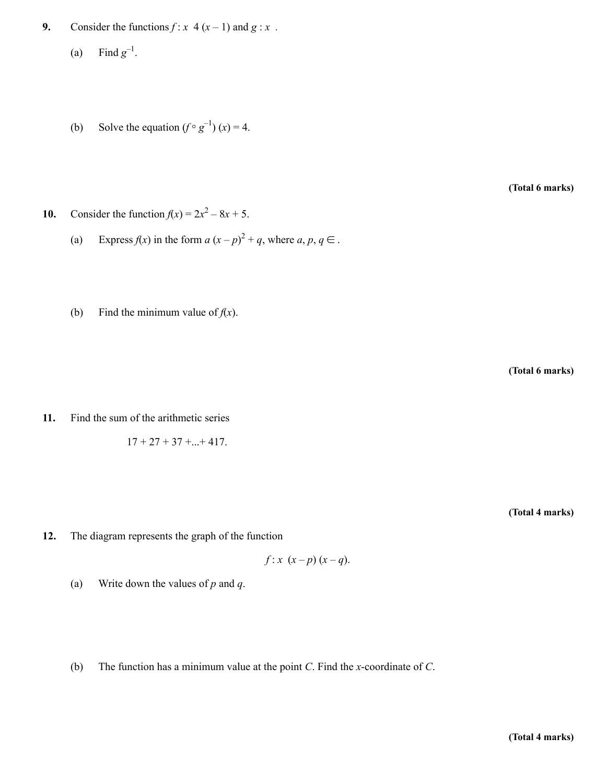- **9.** Consider the functions  $f: x \neq (x-1)$  and  $g: x$ .
	- (a) Find  $g^{-1}$ .
	- (b) Solve the equation  $(f \circ g^{-1})(x) = 4$ .

**(Total 6 marks)**

- **10.** Consider the function  $f(x) = 2x^2 8x + 5$ .
	- (a) Express  $f(x)$  in the form  $a(x-p)^2 + q$ , where  $a, p, q \in$ .
	- (b) Find the minimum value of  $f(x)$ .

**(Total 6 marks)**

**11.** Find the sum of the arithmetic series

$$
17 + 27 + 37 + \dots + 417
$$

**(Total 4 marks)**

**12.** The diagram represents the graph of the function

$$
f: x(x-p)(x-q).
$$

- (a) Write down the values of *p* and *q*.
- (b) The function has a minimum value at the point *C*. Find the *x*-coordinate of *C*.